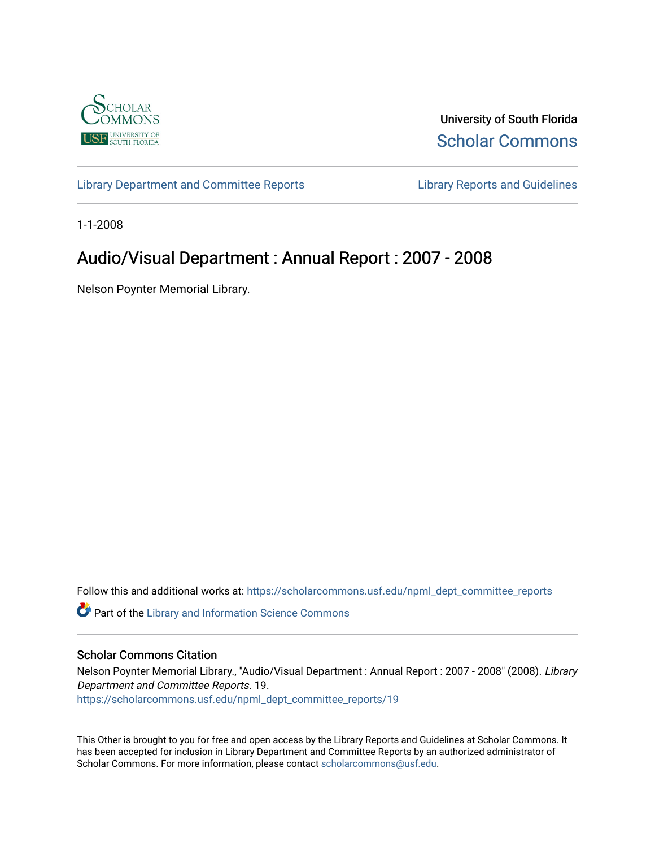

University of South Florida [Scholar Commons](https://scholarcommons.usf.edu/) 

[Library Department and Committee Reports](https://scholarcommons.usf.edu/npml_dept_committee_reports) [Library Reports and Guidelines](https://scholarcommons.usf.edu/npml_reports_guidelines_instruct_materials) 

1-1-2008

# Audio/Visual Department : Annual Report : 2007 - 2008

Nelson Poynter Memorial Library.

Follow this and additional works at: [https://scholarcommons.usf.edu/npml\\_dept\\_committee\\_reports](https://scholarcommons.usf.edu/npml_dept_committee_reports?utm_source=scholarcommons.usf.edu%2Fnpml_dept_committee_reports%2F19&utm_medium=PDF&utm_campaign=PDFCoverPages)

Part of the [Library and Information Science Commons](http://network.bepress.com/hgg/discipline/1018?utm_source=scholarcommons.usf.edu%2Fnpml_dept_committee_reports%2F19&utm_medium=PDF&utm_campaign=PDFCoverPages) 

#### Scholar Commons Citation

Nelson Poynter Memorial Library., "Audio/Visual Department : Annual Report : 2007 - 2008" (2008). Library Department and Committee Reports. 19. [https://scholarcommons.usf.edu/npml\\_dept\\_committee\\_reports/19](https://scholarcommons.usf.edu/npml_dept_committee_reports/19?utm_source=scholarcommons.usf.edu%2Fnpml_dept_committee_reports%2F19&utm_medium=PDF&utm_campaign=PDFCoverPages) 

This Other is brought to you for free and open access by the Library Reports and Guidelines at Scholar Commons. It has been accepted for inclusion in Library Department and Committee Reports by an authorized administrator of Scholar Commons. For more information, please contact [scholarcommons@usf.edu](mailto:scholarcommons@usf.edu).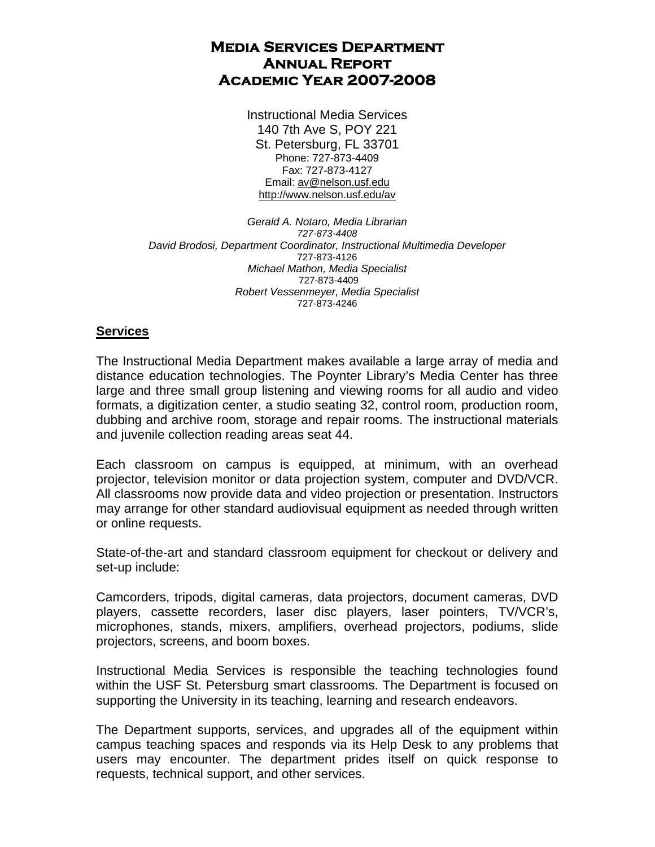# **Media Services Department Annual Report Academic Year 2007-2008**

Instructional Media Services 140 7th Ave S, POY 221 St. Petersburg, FL 33701 Phone: 727-873-4409 Fax: 727-873-4127 Email: av@nelson.usf.edu http://www.nelson.usf.edu/av

*Gerald A. Notaro, Media Librarian 727-873-4408 David Brodosi, Department Coordinator, Instructional Multimedia Developer*  727-873-4126 *Michael Mathon, Media Specialist*  727-873-4409 *Robert Vessenmeyer, Media Specialist*  727-873-4246

# **Services**

The Instructional Media Department makes available a large array of media and distance education technologies. The Poynter Library's Media Center has three large and three small group listening and viewing rooms for all audio and video formats, a digitization center, a studio seating 32, control room, production room, dubbing and archive room, storage and repair rooms. The instructional materials and juvenile collection reading areas seat 44.

Each classroom on campus is equipped, at minimum, with an overhead projector, television monitor or data projection system, computer and DVD/VCR. All classrooms now provide data and video projection or presentation. Instructors may arrange for other standard audiovisual equipment as needed through written or online requests.

State-of-the-art and standard classroom equipment for checkout or delivery and set-up include:

Camcorders, tripods, digital cameras, data projectors, document cameras, DVD players, cassette recorders, laser disc players, laser pointers, TV/VCR's, microphones, stands, mixers, amplifiers, overhead projectors, podiums, slide projectors, screens, and boom boxes.

Instructional Media Services is responsible the teaching technologies found within the USF St. Petersburg smart classrooms. The Department is focused on supporting the University in its teaching, learning and research endeavors.

The Department supports, services, and upgrades all of the equipment within campus teaching spaces and responds via its Help Desk to any problems that users may encounter. The department prides itself on quick response to requests, technical support, and other services.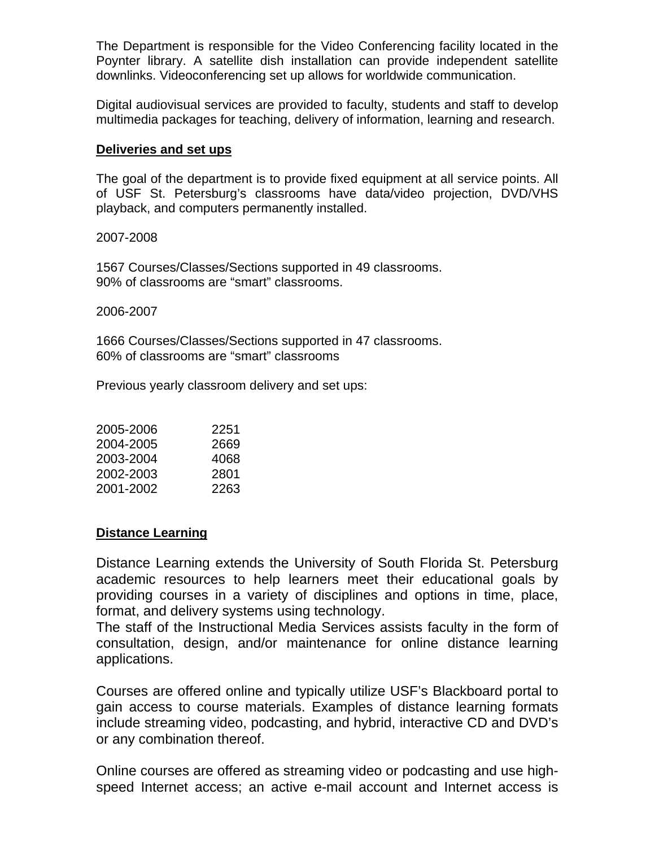The Department is responsible for the Video Conferencing facility located in the Poynter library. A satellite dish installation can provide independent satellite downlinks. Videoconferencing set up allows for worldwide communication.

Digital audiovisual services are provided to faculty, students and staff to develop multimedia packages for teaching, delivery of information, learning and research.

# **Deliveries and set ups**

The goal of the department is to provide fixed equipment at all service points. All of USF St. Petersburg's classrooms have data/video projection, DVD/VHS playback, and computers permanently installed.

2007-2008

1567 Courses/Classes/Sections supported in 49 classrooms. 90% of classrooms are "smart" classrooms.

2006-2007

1666 Courses/Classes/Sections supported in 47 classrooms. 60% of classrooms are "smart" classrooms

Previous yearly classroom delivery and set ups:

| 2005-2006 | 2251 |
|-----------|------|
| 2004-2005 | 2669 |
| 2003-2004 | 4068 |
| 2002-2003 | 2801 |
| 2001-2002 | 2263 |

# **Distance Learning**

Distance Learning extends the University of South Florida St. Petersburg academic resources to help learners meet their educational goals by providing courses in a variety of disciplines and options in time, place, format, and delivery systems using technology.

The staff of the Instructional Media Services assists faculty in the form of consultation, design, and/or maintenance for online distance learning applications.

Courses are offered online and typically utilize USF's Blackboard portal to gain access to course materials. Examples of distance learning formats include streaming video, podcasting, and hybrid, interactive CD and DVD's or any combination thereof.

Online courses are offered as streaming video or podcasting and use highspeed Internet access; an active e-mail account and Internet access is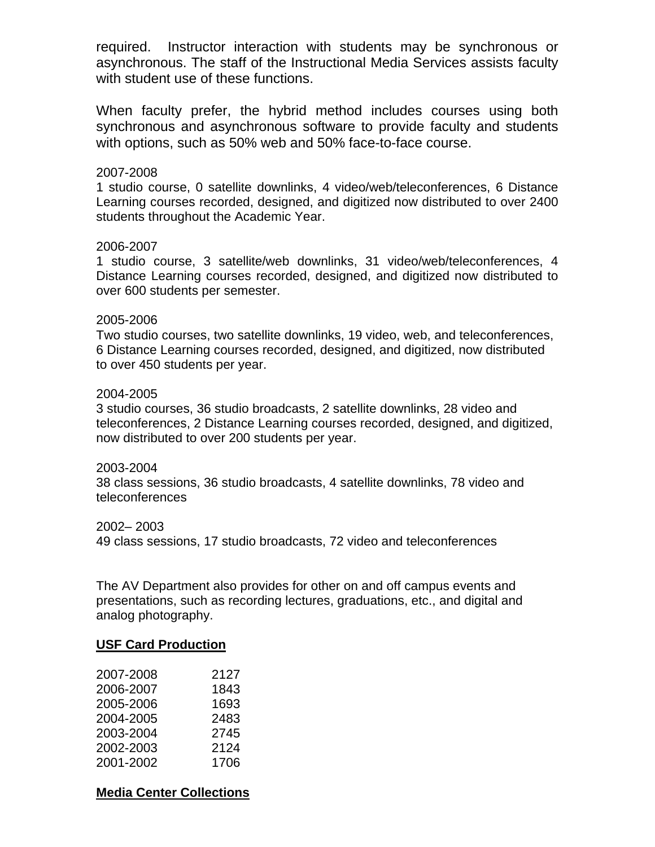required. Instructor interaction with students may be synchronous or asynchronous. The staff of the Instructional Media Services assists faculty with student use of these functions.

When faculty prefer, the hybrid method includes courses using both synchronous and asynchronous software to provide faculty and students with options, such as 50% web and 50% face-to-face course.

# 2007-2008

1 studio course, 0 satellite downlinks, 4 video/web/teleconferences, 6 Distance Learning courses recorded, designed, and digitized now distributed to over 2400 students throughout the Academic Year.

## 2006-2007

1 studio course, 3 satellite/web downlinks, 31 video/web/teleconferences, 4 Distance Learning courses recorded, designed, and digitized now distributed to over 600 students per semester.

## 2005-2006

Two studio courses, two satellite downlinks, 19 video, web, and teleconferences, 6 Distance Learning courses recorded, designed, and digitized, now distributed to over 450 students per year.

# 2004-2005

3 studio courses, 36 studio broadcasts, 2 satellite downlinks, 28 video and teleconferences, 2 Distance Learning courses recorded, designed, and digitized, now distributed to over 200 students per year.

## 2003-2004

38 class sessions, 36 studio broadcasts, 4 satellite downlinks, 78 video and teleconferences

## 2002– 2003

49 class sessions, 17 studio broadcasts, 72 video and teleconferences

The AV Department also provides for other on and off campus events and presentations, such as recording lectures, graduations, etc., and digital and analog photography.

## **USF Card Production**

| 2007-2008 | 2127 |
|-----------|------|
| 2006-2007 | 1843 |
| 2005-2006 | 1693 |
| 2004-2005 | 2483 |
| 2003-2004 | 2745 |
| 2002-2003 | 2124 |
| 2001-2002 | 1706 |

# **Media Center Collections**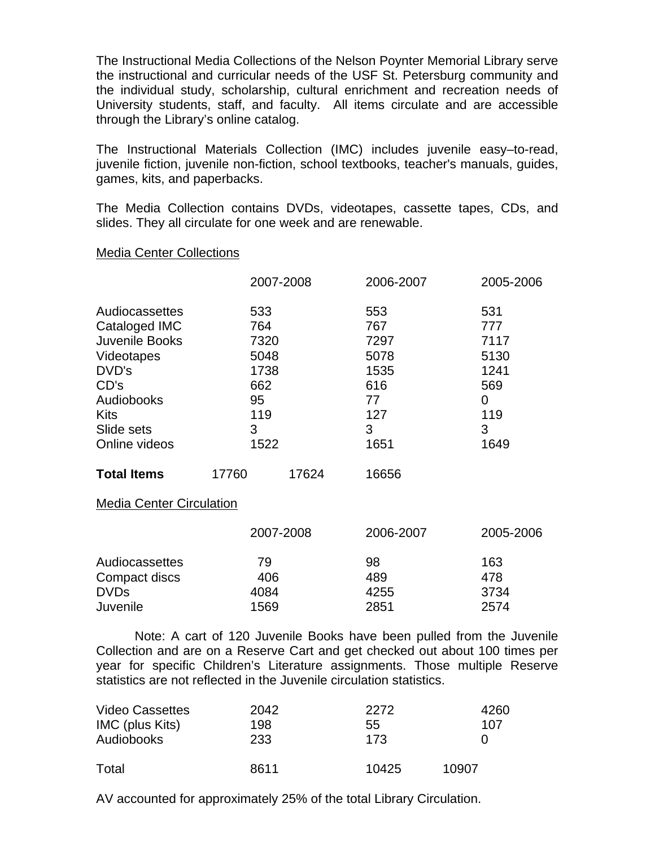The Instructional Media Collections of the Nelson Poynter Memorial Library serve the instructional and curricular needs of the USF St. Petersburg community and the individual study, scholarship, cultural enrichment and recreation needs of University students, staff, and faculty. All items circulate and are accessible through the Library's online catalog.

The Instructional Materials Collection (IMC) includes juvenile easy–to-read, juvenile fiction, juvenile non-fiction, school textbooks, teacher's manuals, guides, games, kits, and paperbacks.

The Media Collection contains DVDs, videotapes, cassette tapes, CDs, and slides. They all circulate for one week and are renewable.

## Media Center Collections

|                    |                               | 2007-2008 | 2006-2007      | 2005-2006   |
|--------------------|-------------------------------|-----------|----------------|-------------|
| Audiocassettes     | 533                           |           | 553            | 531         |
| Cataloged IMC      | 764                           |           | 767            | 777         |
| Juvenile Books     | 7320                          |           | 7297           | 7117        |
| Videotapes         | 5048                          |           | 5078           | 5130        |
| DVD's              | 1738<br>662<br>95<br>119<br>3 |           | 1535           | 1241<br>569 |
| CD's               |                               |           | 616            |             |
| Audiobooks         |                               |           | 77<br>127<br>3 | 0           |
| Kits               |                               |           |                | 119<br>3    |
| Slide sets         |                               |           |                |             |
| Online videos      | 1522                          |           | 1651           | 1649        |
| <b>Total Items</b> | 17760                         | 17624     | 16656          |             |

## Media Center Circulation

|                | 2007-2008 | 2006-2007 | 2005-2006 |
|----------------|-----------|-----------|-----------|
| Audiocassettes | 79        | 98        | 163       |
| Compact discs  | 406       | 489       | 478       |
| <b>DVDs</b>    | 4084      | 4255      | 3734      |
| Juvenile       | 1569      | 2851      | 2574      |

 Note: A cart of 120 Juvenile Books have been pulled from the Juvenile Collection and are on a Reserve Cart and get checked out about 100 times per year for specific Children's Literature assignments. Those multiple Reserve statistics are not reflected in the Juvenile circulation statistics.

| <b>Video Cassettes</b> | 2042 | 2272  | 4260              |
|------------------------|------|-------|-------------------|
| IMC (plus Kits)        | 198  | 55    | 107               |
| Audiobooks             | 233  | 173   | $\mathbf{\Omega}$ |
| Total                  | 8611 | 10425 | 10907             |

AV accounted for approximately 25% of the total Library Circulation.